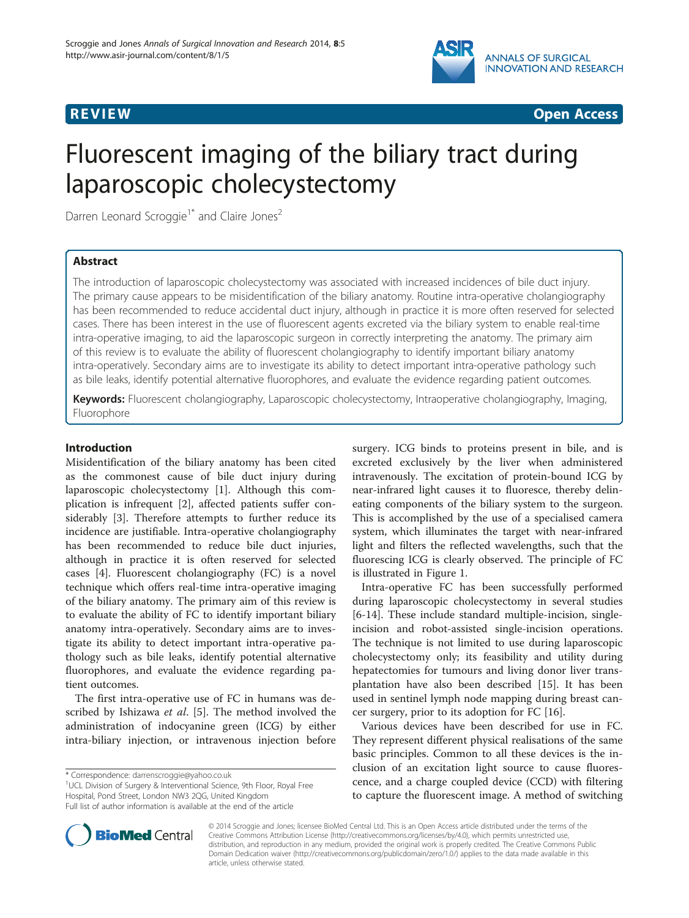



# Fluorescent imaging of the biliary tract during laparoscopic cholecystectomy

Darren Leonard Scroggie<sup>1\*</sup> and Claire Jones<sup>2</sup>

# Abstract

The introduction of laparoscopic cholecystectomy was associated with increased incidences of bile duct injury. The primary cause appears to be misidentification of the biliary anatomy. Routine intra-operative cholangiography has been recommended to reduce accidental duct injury, although in practice it is more often reserved for selected cases. There has been interest in the use of fluorescent agents excreted via the biliary system to enable real-time intra-operative imaging, to aid the laparoscopic surgeon in correctly interpreting the anatomy. The primary aim of this review is to evaluate the ability of fluorescent cholangiography to identify important biliary anatomy intra-operatively. Secondary aims are to investigate its ability to detect important intra-operative pathology such as bile leaks, identify potential alternative fluorophores, and evaluate the evidence regarding patient outcomes.

Keywords: Fluorescent cholangiography, Laparoscopic cholecystectomy, Intraoperative cholangiography, Imaging, Fluorophore

# Introduction

Misidentification of the biliary anatomy has been cited as the commonest cause of bile duct injury during laparoscopic cholecystectomy [\[1](#page-4-0)]. Although this complication is infrequent [\[2](#page-4-0)], affected patients suffer considerably [[3\]](#page-4-0). Therefore attempts to further reduce its incidence are justifiable. Intra-operative cholangiography has been recommended to reduce bile duct injuries, although in practice it is often reserved for selected cases [[4](#page-4-0)]. Fluorescent cholangiography (FC) is a novel technique which offers real-time intra-operative imaging of the biliary anatomy. The primary aim of this review is to evaluate the ability of FC to identify important biliary anatomy intra-operatively. Secondary aims are to investigate its ability to detect important intra-operative pathology such as bile leaks, identify potential alternative fluorophores, and evaluate the evidence regarding patient outcomes.

The first intra-operative use of FC in humans was described by Ishizawa *et al.* [\[5](#page-4-0)]. The method involved the administration of indocyanine green (ICG) by either intra-biliary injection, or intravenous injection before

<sup>1</sup>UCL Division of Surgery & Interventional Science, 9th Floor, Royal Free Hospital, Pond Street, London NW3 2QG, United Kingdom Full list of author information is available at the end of the article

surgery. ICG binds to proteins present in bile, and is excreted exclusively by the liver when administered intravenously. The excitation of protein-bound ICG by near-infrared light causes it to fluoresce, thereby delineating components of the biliary system to the surgeon. This is accomplished by the use of a specialised camera system, which illuminates the target with near-infrared light and filters the reflected wavelengths, such that the fluorescing ICG is clearly observed. The principle of FC is illustrated in Figure [1](#page-1-0).

Intra-operative FC has been successfully performed during laparoscopic cholecystectomy in several studies [[6-14](#page-4-0)]. These include standard multiple-incision, singleincision and robot-assisted single-incision operations. The technique is not limited to use during laparoscopic cholecystectomy only; its feasibility and utility during hepatectomies for tumours and living donor liver transplantation have also been described [\[15](#page-4-0)]. It has been used in sentinel lymph node mapping during breast cancer surgery, prior to its adoption for FC [[16\]](#page-4-0).

Various devices have been described for use in FC. They represent different physical realisations of the same basic principles. Common to all these devices is the inclusion of an excitation light source to cause fluorescence, and a charge coupled device (CCD) with filtering to capture the fluorescent image. A method of switching



© 2014 Scroggie and Jones; licensee BioMed Central Ltd. This is an Open Access article distributed under the terms of the Creative Commons Attribution License (<http://creativecommons.org/licenses/by/4.0>), which permits unrestricted use, distribution, and reproduction in any medium, provided the original work is properly credited. The Creative Commons Public Domain Dedication waiver [\(http://creativecommons.org/publicdomain/zero/1.0/\)](http://creativecommons.org/publicdomain/zero/1.0/) applies to the data made available in this article, unless otherwise stated.

<sup>\*</sup> Correspondence: [darrenscroggie@yahoo.co.uk](mailto:darrenscroggie@yahoo.co.uk) <sup>1</sup>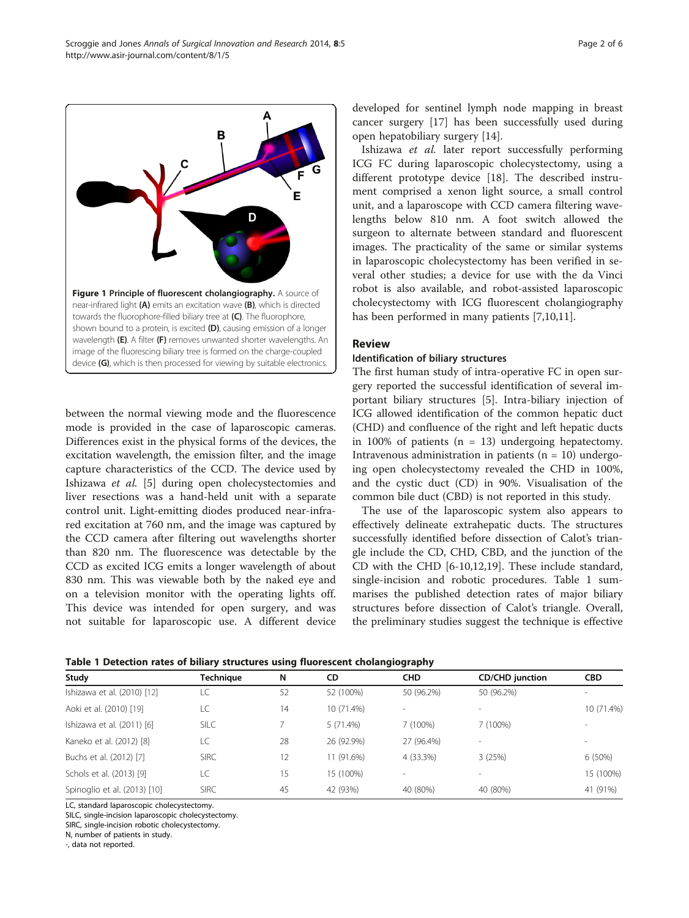between the normal viewing mode and the fluorescence mode is provided in the case of laparoscopic cameras. Differences exist in the physical forms of the devices, the excitation wavelength, the emission filter, and the image capture characteristics of the CCD. The device used by Ishizawa et al. [\[5\]](#page-4-0) during open cholecystectomies and liver resections was a hand-held unit with a separate control unit. Light-emitting diodes produced near-infrared excitation at 760 nm, and the image was captured by the CCD camera after filtering out wavelengths shorter than 820 nm. The fluorescence was detectable by the CCD as excited ICG emits a longer wavelength of about 830 nm. This was viewable both by the naked eye and on a television monitor with the operating lights off. This device was intended for open surgery, and was not suitable for laparoscopic use. A different device developed for sentinel lymph node mapping in breast cancer surgery [[17](#page-4-0)] has been successfully used during open hepatobiliary surgery [[14\]](#page-4-0).

Ishizawa et al. later report successfully performing ICG FC during laparoscopic cholecystectomy, using a different prototype device [\[18](#page-4-0)]. The described instrument comprised a xenon light source, a small control unit, and a laparoscope with CCD camera filtering wavelengths below 810 nm. A foot switch allowed the surgeon to alternate between standard and fluorescent images. The practicality of the same or similar systems in laparoscopic cholecystectomy has been verified in several other studies; a device for use with the da Vinci robot is also available, and robot-assisted laparoscopic cholecystectomy with ICG fluorescent cholangiography has been performed in many patients [[7,10,11\]](#page-4-0).

#### Review

#### Identification of biliary structures

The first human study of intra-operative FC in open surgery reported the successful identification of several important biliary structures [[5\]](#page-4-0). Intra-biliary injection of ICG allowed identification of the common hepatic duct (CHD) and confluence of the right and left hepatic ducts in 100% of patients ( $n = 13$ ) undergoing hepatectomy. Intravenous administration in patients ( $n = 10$ ) undergoing open cholecystectomy revealed the CHD in 100%, and the cystic duct (CD) in 90%. Visualisation of the common bile duct (CBD) is not reported in this study.

The use of the laparoscopic system also appears to effectively delineate extrahepatic ducts. The structures successfully identified before dissection of Calot's triangle include the CD, CHD, CBD, and the junction of the CD with the CHD [\[6](#page-4-0)-[10,12,19\]](#page-4-0). These include standard, single-incision and robotic procedures. Table 1 summarises the published detection rates of major biliary structures before dissection of Calot's triangle. Overall, the preliminary studies suggest the technique is effective



| Study                        | Techniaue   | N  | CD         | <b>CHD</b> | <b>CD/CHD</b> junction | <b>CBD</b> |
|------------------------------|-------------|----|------------|------------|------------------------|------------|
| Ishizawa et al. (2010) [12]  | LC          | 52 | 52 (100%)  | 50 (96.2%) | 50 (96.2%)             |            |
| Aoki et al. (2010) [19]      | LC          | 14 | 10 (71.4%) | $\sim$     |                        | 10 (71.4%) |
| Ishizawa et al. (2011) [6]   | <b>SILC</b> |    | 5(71.4%)   | (100%)     | 7 (100%)               |            |
| Kaneko et al. (2012) [8]     | LC          | 28 | 26 (92.9%) | 27 (96.4%) |                        |            |
| Buchs et al. (2012) [7]      | <b>SIRC</b> | 12 | 11 (91.6%) | 4 (33.3%)  | 3(25%)                 | $6(50\%)$  |
| Schols et al. (2013) [9]     | LC          | 15 | 15 (100%)  |            |                        | 15 (100%)  |
| Spinoglio et al. (2013) [10] | <b>SIRC</b> | 45 | 42 (93%)   | 40 (80%)   | 40 (80%)               | 41 (91%)   |
|                              |             |    |            |            |                        |            |

LC, standard laparoscopic cholecystectomy.

SILC, single-incision laparoscopic cholecystectomy.

SIRC, single-incision robotic cholecystectomy.

N, number of patients in study.

-, data not reported.

<span id="page-1-0"></span>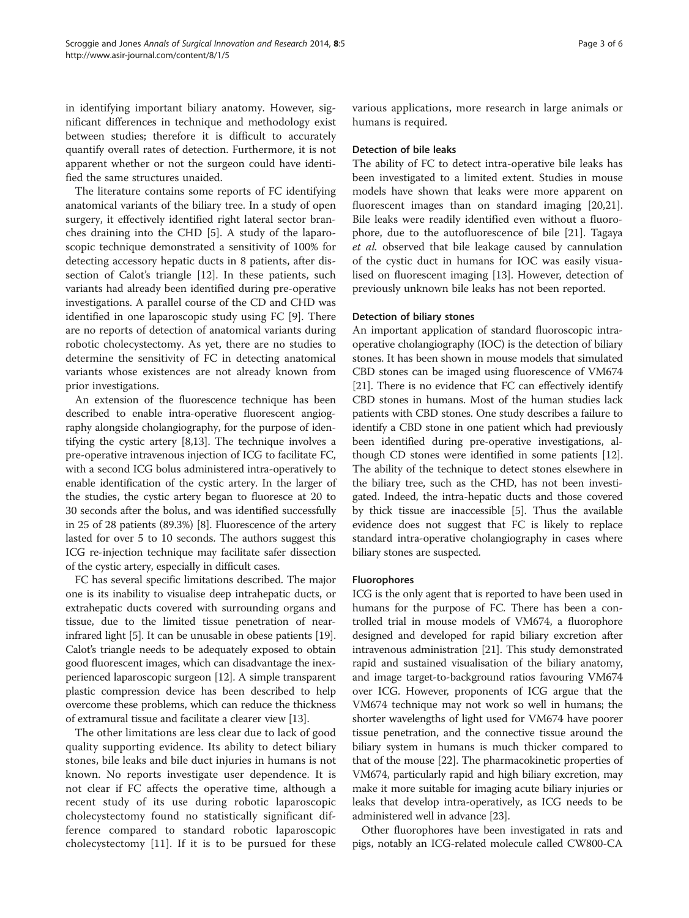in identifying important biliary anatomy. However, significant differences in technique and methodology exist between studies; therefore it is difficult to accurately quantify overall rates of detection. Furthermore, it is not apparent whether or not the surgeon could have identified the same structures unaided.

The literature contains some reports of FC identifying anatomical variants of the biliary tree. In a study of open surgery, it effectively identified right lateral sector branches draining into the CHD [[5\]](#page-4-0). A study of the laparoscopic technique demonstrated a sensitivity of 100% for detecting accessory hepatic ducts in 8 patients, after dissection of Calot's triangle [\[12](#page-4-0)]. In these patients, such variants had already been identified during pre-operative investigations. A parallel course of the CD and CHD was identified in one laparoscopic study using FC [[9](#page-4-0)]. There are no reports of detection of anatomical variants during robotic cholecystectomy. As yet, there are no studies to determine the sensitivity of FC in detecting anatomical variants whose existences are not already known from prior investigations.

An extension of the fluorescence technique has been described to enable intra-operative fluorescent angiography alongside cholangiography, for the purpose of identifying the cystic artery [\[8,13](#page-4-0)]. The technique involves a pre-operative intravenous injection of ICG to facilitate FC, with a second ICG bolus administered intra-operatively to enable identification of the cystic artery. In the larger of the studies, the cystic artery began to fluoresce at 20 to 30 seconds after the bolus, and was identified successfully in 25 of 28 patients (89.3%) [\[8](#page-4-0)]. Fluorescence of the artery lasted for over 5 to 10 seconds. The authors suggest this ICG re-injection technique may facilitate safer dissection of the cystic artery, especially in difficult cases.

FC has several specific limitations described. The major one is its inability to visualise deep intrahepatic ducts, or extrahepatic ducts covered with surrounding organs and tissue, due to the limited tissue penetration of nearinfrared light [\[5](#page-4-0)]. It can be unusable in obese patients [[19](#page-4-0)]. Calot's triangle needs to be adequately exposed to obtain good fluorescent images, which can disadvantage the inexperienced laparoscopic surgeon [[12](#page-4-0)]. A simple transparent plastic compression device has been described to help overcome these problems, which can reduce the thickness of extramural tissue and facilitate a clearer view [[13](#page-4-0)].

The other limitations are less clear due to lack of good quality supporting evidence. Its ability to detect biliary stones, bile leaks and bile duct injuries in humans is not known. No reports investigate user dependence. It is not clear if FC affects the operative time, although a recent study of its use during robotic laparoscopic cholecystectomy found no statistically significant difference compared to standard robotic laparoscopic cholecystectomy [\[11](#page-4-0)]. If it is to be pursued for these various applications, more research in large animals or humans is required.

# Detection of bile leaks

The ability of FC to detect intra-operative bile leaks has been investigated to a limited extent. Studies in mouse models have shown that leaks were more apparent on fluorescent images than on standard imaging [\[20,21](#page-4-0)]. Bile leaks were readily identified even without a fluorophore, due to the autofluorescence of bile [\[21](#page-4-0)]. Tagaya et al. observed that bile leakage caused by cannulation of the cystic duct in humans for IOC was easily visualised on fluorescent imaging [[13\]](#page-4-0). However, detection of previously unknown bile leaks has not been reported.

#### Detection of biliary stones

An important application of standard fluoroscopic intraoperative cholangiography (IOC) is the detection of biliary stones. It has been shown in mouse models that simulated CBD stones can be imaged using fluorescence of VM674 [[21](#page-4-0)]. There is no evidence that FC can effectively identify CBD stones in humans. Most of the human studies lack patients with CBD stones. One study describes a failure to identify a CBD stone in one patient which had previously been identified during pre-operative investigations, although CD stones were identified in some patients [[12](#page-4-0)]. The ability of the technique to detect stones elsewhere in the biliary tree, such as the CHD, has not been investigated. Indeed, the intra-hepatic ducts and those covered by thick tissue are inaccessible [\[5](#page-4-0)]. Thus the available evidence does not suggest that FC is likely to replace standard intra-operative cholangiography in cases where biliary stones are suspected.

#### Fluorophores

ICG is the only agent that is reported to have been used in humans for the purpose of FC. There has been a controlled trial in mouse models of VM674, a fluorophore designed and developed for rapid biliary excretion after intravenous administration [\[21](#page-4-0)]. This study demonstrated rapid and sustained visualisation of the biliary anatomy, and image target-to-background ratios favouring VM674 over ICG. However, proponents of ICG argue that the VM674 technique may not work so well in humans; the shorter wavelengths of light used for VM674 have poorer tissue penetration, and the connective tissue around the biliary system in humans is much thicker compared to that of the mouse [[22](#page-4-0)]. The pharmacokinetic properties of VM674, particularly rapid and high biliary excretion, may make it more suitable for imaging acute biliary injuries or leaks that develop intra-operatively, as ICG needs to be administered well in advance [\[23\]](#page-4-0).

Other fluorophores have been investigated in rats and pigs, notably an ICG-related molecule called CW800-CA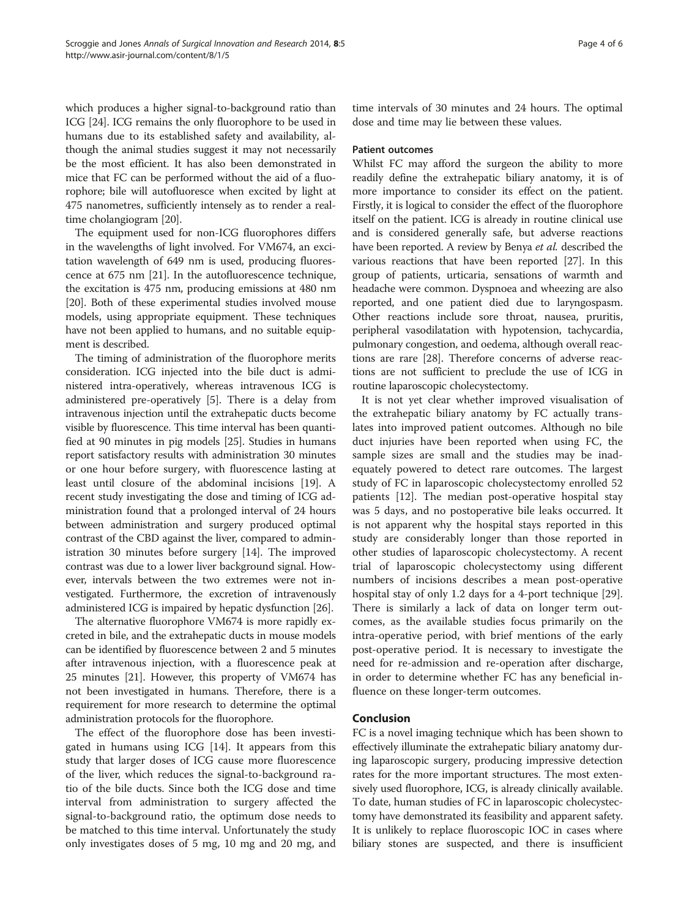which produces a higher signal-to-background ratio than ICG [[24](#page-4-0)]. ICG remains the only fluorophore to be used in humans due to its established safety and availability, although the animal studies suggest it may not necessarily be the most efficient. It has also been demonstrated in mice that FC can be performed without the aid of a fluorophore; bile will autofluoresce when excited by light at 475 nanometres, sufficiently intensely as to render a realtime cholangiogram [\[20](#page-4-0)].

The equipment used for non-ICG fluorophores differs in the wavelengths of light involved. For VM674, an excitation wavelength of 649 nm is used, producing fluorescence at 675 nm [[21](#page-4-0)]. In the autofluorescence technique, the excitation is 475 nm, producing emissions at 480 nm [[20](#page-4-0)]. Both of these experimental studies involved mouse models, using appropriate equipment. These techniques have not been applied to humans, and no suitable equipment is described.

The timing of administration of the fluorophore merits consideration. ICG injected into the bile duct is administered intra-operatively, whereas intravenous ICG is administered pre-operatively [\[5](#page-4-0)]. There is a delay from intravenous injection until the extrahepatic ducts become visible by fluorescence. This time interval has been quantified at 90 minutes in pig models [[25](#page-4-0)]. Studies in humans report satisfactory results with administration 30 minutes or one hour before surgery, with fluorescence lasting at least until closure of the abdominal incisions [\[19\]](#page-4-0). A recent study investigating the dose and timing of ICG administration found that a prolonged interval of 24 hours between administration and surgery produced optimal contrast of the CBD against the liver, compared to administration 30 minutes before surgery [\[14\]](#page-4-0). The improved contrast was due to a lower liver background signal. However, intervals between the two extremes were not investigated. Furthermore, the excretion of intravenously administered ICG is impaired by hepatic dysfunction [[26](#page-4-0)].

The alternative fluorophore VM674 is more rapidly excreted in bile, and the extrahepatic ducts in mouse models can be identified by fluorescence between 2 and 5 minutes after intravenous injection, with a fluorescence peak at 25 minutes [[21](#page-4-0)]. However, this property of VM674 has not been investigated in humans. Therefore, there is a requirement for more research to determine the optimal administration protocols for the fluorophore.

The effect of the fluorophore dose has been investigated in humans using ICG [\[14](#page-4-0)]. It appears from this study that larger doses of ICG cause more fluorescence of the liver, which reduces the signal-to-background ratio of the bile ducts. Since both the ICG dose and time interval from administration to surgery affected the signal-to-background ratio, the optimum dose needs to be matched to this time interval. Unfortunately the study only investigates doses of 5 mg, 10 mg and 20 mg, and time intervals of 30 minutes and 24 hours. The optimal dose and time may lie between these values.

### Patient outcomes

Whilst FC may afford the surgeon the ability to more readily define the extrahepatic biliary anatomy, it is of more importance to consider its effect on the patient. Firstly, it is logical to consider the effect of the fluorophore itself on the patient. ICG is already in routine clinical use and is considered generally safe, but adverse reactions have been reported. A review by Benya et al. described the various reactions that have been reported [\[27](#page-4-0)]. In this group of patients, urticaria, sensations of warmth and headache were common. Dyspnoea and wheezing are also reported, and one patient died due to laryngospasm. Other reactions include sore throat, nausea, pruritis, peripheral vasodilatation with hypotension, tachycardia, pulmonary congestion, and oedema, although overall reactions are rare [[28](#page-5-0)]. Therefore concerns of adverse reactions are not sufficient to preclude the use of ICG in routine laparoscopic cholecystectomy.

It is not yet clear whether improved visualisation of the extrahepatic biliary anatomy by FC actually translates into improved patient outcomes. Although no bile duct injuries have been reported when using FC, the sample sizes are small and the studies may be inadequately powered to detect rare outcomes. The largest study of FC in laparoscopic cholecystectomy enrolled 52 patients [\[12](#page-4-0)]. The median post-operative hospital stay was 5 days, and no postoperative bile leaks occurred. It is not apparent why the hospital stays reported in this study are considerably longer than those reported in other studies of laparoscopic cholecystectomy. A recent trial of laparoscopic cholecystectomy using different numbers of incisions describes a mean post-operative hospital stay of only 1.2 days for a 4-port technique [\[29](#page-5-0)]. There is similarly a lack of data on longer term outcomes, as the available studies focus primarily on the intra-operative period, with brief mentions of the early post-operative period. It is necessary to investigate the need for re-admission and re-operation after discharge, in order to determine whether FC has any beneficial influence on these longer-term outcomes.

# Conclusion

FC is a novel imaging technique which has been shown to effectively illuminate the extrahepatic biliary anatomy during laparoscopic surgery, producing impressive detection rates for the more important structures. The most extensively used fluorophore, ICG, is already clinically available. To date, human studies of FC in laparoscopic cholecystectomy have demonstrated its feasibility and apparent safety. It is unlikely to replace fluoroscopic IOC in cases where biliary stones are suspected, and there is insufficient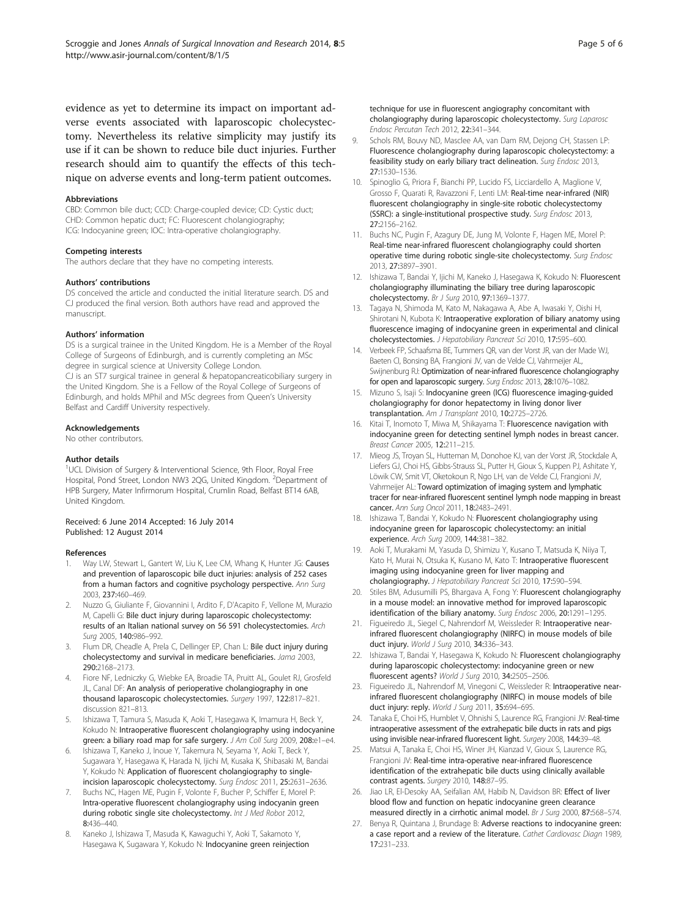<span id="page-4-0"></span>evidence as yet to determine its impact on important adverse events associated with laparoscopic cholecystectomy. Nevertheless its relative simplicity may justify its use if it can be shown to reduce bile duct injuries. Further research should aim to quantify the effects of this technique on adverse events and long-term patient outcomes.

#### **Abbreviations**

CBD: Common bile duct; CCD: Charge-coupled device; CD: Cystic duct; CHD: Common hepatic duct; FC: Fluorescent cholangiography; ICG: Indocyanine green; IOC: Intra-operative cholangiography.

#### Competing interests

The authors declare that they have no competing interests.

#### Authors' contributions

DS conceived the article and conducted the initial literature search. DS and CJ produced the final version. Both authors have read and approved the manuscript.

#### Authors' information

DS is a surgical trainee in the United Kingdom. He is a Member of the Royal College of Surgeons of Edinburgh, and is currently completing an MSc degree in surgical science at University College London.

CJ is an ST7 surgical trainee in general & hepatopancreaticobiliary surgery in the United Kingdom. She is a Fellow of the Royal College of Surgeons of Edinburgh, and holds MPhil and MSc degrees from Queen's University Belfast and Cardiff University respectively.

#### Acknowledgements

No other contributors.

#### Author details

<sup>1</sup>UCL Division of Surgery & Interventional Science, 9th Floor, Royal Free Hospital, Pond Street, London NW3 2QG, United Kingdom. <sup>2</sup>Department of HPB Surgery, Mater Infirmorum Hospital, Crumlin Road, Belfast BT14 6AB, United Kingdom.

#### Received: 6 June 2014 Accepted: 16 July 2014 Published: 12 August 2014

#### References

- 1. Way LW, Stewart L, Gantert W, Liu K, Lee CM, Whang K, Hunter JG: Causes and prevention of laparoscopic bile duct injuries: analysis of 252 cases from a human factors and cognitive psychology perspective. Ann Surg 2003, 237:460–469.
- 2. Nuzzo G, Giuliante F, Giovannini I, Ardito F, D'Acapito F, Vellone M, Murazio M, Capelli G: Bile duct injury during laparoscopic cholecystectomy: results of an Italian national survey on 56 591 cholecystectomies. Arch Surg 2005, 140:986–992.
- Flum DR, Cheadle A, Prela C, Dellinger EP, Chan L: Bile duct injury during cholecystectomy and survival in medicare beneficiaries. Jama 2003, 290:2168–2173.
- 4. Fiore NF, Ledniczky G, Wiebke EA, Broadie TA, Pruitt AL, Goulet RJ, Grosfeld JL, Canal DF: An analysis of perioperative cholangiography in one thousand laparoscopic cholecystectomies. Surgery 1997, 122:817–821. discussion 821–813.
- Ishizawa T, Tamura S, Masuda K, Aoki T, Hasegawa K, Imamura H, Beck Y, Kokudo N: Intraoperative fluorescent cholangiography using indocyanine green: a biliary road map for safe surgery. J Am Coll Surg 2009, 208:e1-e4.
- 6. Ishizawa T, Kaneko J, Inoue Y, Takemura N, Seyama Y, Aoki T, Beck Y, Sugawara Y, Hasegawa K, Harada N, Ijichi M, Kusaka K, Shibasaki M, Bandai Y, Kokudo N: Application of fluorescent cholangiography to singleincision laparoscopic cholecystectomy. Surg Endosc 2011, 25:2631–2636.
- Buchs NC, Hagen ME, Pugin F, Volonte F, Bucher P, Schiffer E, Morel P: Intra-operative fluorescent cholangiography using indocyanin green during robotic single site cholecystectomy. Int J Med Robot 2012, 8:436–440.
- 8. Kaneko J, Ishizawa T, Masuda K, Kawaguchi Y, Aoki T, Sakamoto Y, Hasegawa K, Sugawara Y, Kokudo N: Indocyanine green reinjection

technique for use in fluorescent angiography concomitant with cholangiography during laparoscopic cholecystectomy. Surg Laparosc Endosc Percutan Tech 2012, 22:341–344.

- 9. Schols RM, Bouvy ND, Masclee AA, van Dam RM, Dejong CH, Stassen LP: Fluorescence cholangiography during laparoscopic cholecystectomy: a feasibility study on early biliary tract delineation. Surg Endosc 2013, 27:1530–1536.
- 10. Spinoglio G, Priora F, Bianchi PP, Lucido FS, Licciardello A, Maglione V, Grosso F, Quarati R, Ravazzoni F, Lenti LM: Real-time near-infrared (NIR) fluorescent cholangiography in single-site robotic cholecystectomy (SSRC): a single-institutional prospective study. Surg Endosc 2013, 27:2156–2162.
- 11. Buchs NC, Pugin F, Azagury DE, Jung M, Volonte F, Hagen ME, Morel P: Real-time near-infrared fluorescent cholangiography could shorten operative time during robotic single-site cholecystectomy. Surg Endosc 2013, 27:3897–3901.
- 12. Ishizawa T, Bandai Y, Ijichi M, Kaneko J, Hasegawa K, Kokudo N: Fluorescent cholangiography illuminating the biliary tree during laparoscopic cholecystectomy. Br J Surg 2010, 97:1369–1377.
- 13. Tagaya N, Shimoda M, Kato M, Nakagawa A, Abe A, Iwasaki Y, Oishi H, Shirotani N, Kubota K: Intraoperative exploration of biliary anatomy using fluorescence imaging of indocyanine green in experimental and clinical cholecystectomies. J Hepatobiliary Pancreat Sci 2010, 17:595–600.
- 14. Verbeek FP, Schaafsma BE, Tummers QR, van der Vorst JR, van der Made WJ, Baeten CI, Bonsing BA, Frangioni JV, van de Velde CJ, Vahrmeijer AL, Swijnenburg RJ: Optimization of near-infrared fluorescence cholangiography for open and laparoscopic surgery. Surg Endosc 2013, 28:1076–1082.
- 15. Mizuno S, Isaji S: Indocyanine green (ICG) fluorescence imaging-guided cholangiography for donor hepatectomy in living donor liver transplantation. Am J Transplant 2010, 10:2725–2726.
- 16. Kitai T, Inomoto T, Miwa M, Shikayama T: Fluorescence navigation with indocyanine green for detecting sentinel lymph nodes in breast cancer. Breast Cancer 2005, 12:211–215.
- 17. Mieog JS, Troyan SL, Hutteman M, Donohoe KJ, van der Vorst JR, Stockdale A, Liefers GJ, Choi HS, Gibbs-Strauss SL, Putter H, Gioux S, Kuppen PJ, Ashitate Y, Löwik CW, Smit VT, Oketokoun R, Ngo LH, van de Velde CJ, Frangioni JV, Vahrmeijer AL: Toward optimization of imaging system and lymphatic tracer for near-infrared fluorescent sentinel lymph node mapping in breast cancer. Ann Surg Oncol 2011, 18:2483–2491.
- 18. Ishizawa T, Bandai Y, Kokudo N: Fluorescent cholangiography using indocyanine green for laparoscopic cholecystectomy: an initial experience. Arch Surg 2009, 144:381–382.
- 19. Aoki T, Murakami M, Yasuda D, Shimizu Y, Kusano T, Matsuda K, Niiya T, Kato H, Murai N, Otsuka K, Kusano M, Kato T: Intraoperative fluorescent imaging using indocyanine green for liver mapping and cholangiography. J Hepatobiliary Pancreat Sci 2010, 17:590–594.
- 20. Stiles BM, Adusumilli PS, Bhargava A, Fong Y: Fluorescent cholangiography in a mouse model: an innovative method for improved laparoscopic identification of the biliary anatomy. Surg Endosc 2006, 20:1291–1295.
- 21. Figueiredo JL, Siegel C, Nahrendorf M, Weissleder R: Intraoperative nearinfrared fluorescent cholangiography (NIRFC) in mouse models of bile duct injury. World J Surg 2010, 34:336-343.
- 22. Ishizawa T, Bandai Y, Hasegawa K, Kokudo N: Fluorescent cholangiography during laparoscopic cholecystectomy: indocyanine green or new fluorescent agents? World J Surg 2010, 34:2505–2506.
- 23. Figueiredo JL, Nahrendorf M, Vinegoni C, Weissleder R: Intraoperative nearinfrared fluorescent cholangiography (NIRFC) in mouse models of bile duct injury: reply. World J Surg 2011, 35:694-695.
- 24. Tanaka E, Choi HS, Humblet V, Ohnishi S, Laurence RG, Frangioni JV: Real-time intraoperative assessment of the extrahepatic bile ducts in rats and pigs using invisible near-infrared fluorescent light. Surgery 2008, 144:39–48.
- 25. Matsui A, Tanaka E, Choi HS, Winer JH, Kianzad V, Gioux S, Laurence RG, Frangioni JV: Real-time intra-operative near-infrared fluorescence identification of the extrahepatic bile ducts using clinically available contrast agents. Surgery 2010, 148:87-95.
- 26. Jiao LR, El-Desoky AA, Seifalian AM, Habib N, Davidson BR: Effect of liver blood flow and function on hepatic indocyanine green clearance measured directly in a cirrhotic animal model. Br J Surg 2000, 87:568-574.
- 27. Benya R, Quintana J, Brundage B: Adverse reactions to indocyanine green: a case report and a review of the literature. Cathet Cardiovasc Diagn 1989, 17:231–233.